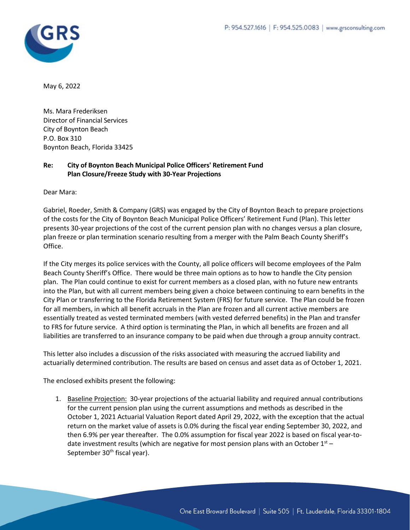

May 6, 2022

Ms. Mara Frederiksen Director of Financial Services City of Boynton Beach P.O. Box 310 Boynton Beach, Florida 33425

## **Re: City of Boynton Beach Municipal Police Officers' Retirement Fund Plan Closure/Freeze Study with 30-Year Projections**

Dear Mara:

Gabriel, Roeder, Smith & Company (GRS) was engaged by the City of Boynton Beach to prepare projections of the costs for the City of Boynton Beach Municipal Police Officers' Retirement Fund (Plan). This letter presents 30-year projections of the cost of the current pension plan with no changes versus a plan closure, plan freeze or plan termination scenario resulting from a merger with the Palm Beach County Sheriff's Office.

If the City merges its police services with the County, all police officers will become employees of the Palm Beach County Sheriff's Office. There would be three main options as to how to handle the City pension plan. The Plan could continue to exist for current members as a closed plan, with no future new entrants into the Plan, but with all current members being given a choice between continuing to earn benefits in the City Plan or transferring to the Florida Retirement System (FRS) for future service. The Plan could be frozen for all members, in which all benefit accruals in the Plan are frozen and all current active members are essentially treated as vested terminated members (with vested deferred benefits) in the Plan and transfer to FRS for future service. A third option is terminating the Plan, in which all benefits are frozen and all liabilities are transferred to an insurance company to be paid when due through a group annuity contract.

This letter also includes a discussion of the risks associated with measuring the accrued liability and actuarially determined contribution. The results are based on census and asset data as of October 1, 2021.

The enclosed exhibits present the following:

1. Baseline Projection: 30-year projections of the actuarial liability and required annual contributions for the current pension plan using the current assumptions and methods as described in the October 1, 2021 Actuarial Valuation Report dated April 29, 2022, with the exception that the actual return on the market value of assets is 0.0% during the fiscal year ending September 30, 2022, and then 6.9% per year thereafter. The 0.0% assumption for fiscal year 2022 is based on fiscal year-todate investment results (which are negative for most pension plans with an October  $1^{st}$  – September 30<sup>th</sup> fiscal year).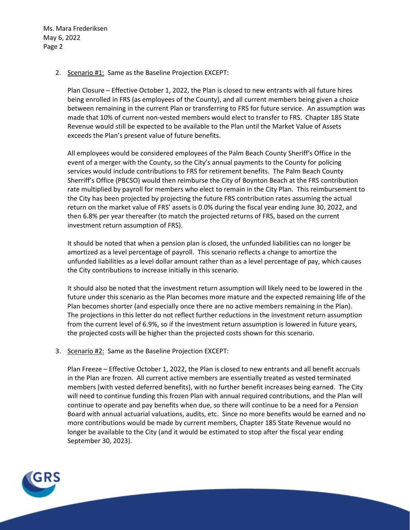2. Scenario #1: Same as the Baseline Projection EXCEPT:

Plan Closure – Effective October 1, 2022, the Plan is closed to new entrants with all future hires being enrolled in FRS (as employees of the County), and all current members being given a choice between remaining in the current Plan or transferring to FRS for future service. An assumption was made that 10% of current non-vested members would elect to transfer to FRS. Chapter 185 State Revenue would still be expected to be available to the Plan until the Market Value of Assets exceeds the Plan's present value of future benefits.

All employees would be considered employees of the Palm Beach County Sheriff's Office in the event of a merger with the County, so the City's annual payments to the County for policing services would include contributions to FRS for retirement benefits. The Palm Beach County Sherriff's Office (PBCSO) would then reimburse the City of Boynton Beach at the FRS contribution rate multiplied by payroll for members who elect to remain in the City Plan. This reimbursement to the City has been projected by projecting the future FRS contribution rates assuming the actual return on the market value of FRS' assets is 0.0% during the fiscal year ending June 30, 2022, and then 6.8% per year thereafter (to match the projected returns of FRS, based on the current investment return assumption of FRS).

It should be noted that when a pension plan is closed, the unfunded liabilities can no longer be amortized as a level percentage of payroll. This scenario reflects a change to amortize the unfunded liabilities as a level dollar amount rather than as a level percentage of pay, which causes the City contributions to increase initially in this scenario.

It should also be noted that the investment return assumption will likely need to be lowered in the future under this scenario as the Plan becomes more mature and the expected remaining life of the Plan becomes shorter (and especially once there are no active members remaining in the Plan). The projections in this letter do not reflect further reductions in the investment return assumption from the current level of 6.9%, so if the investment return assumption is lowered in future years, the projected costs will be higher than the projected costs shown for this scenario.

3. Scenario #2: Same as the Baseline Projection EXCEPT:

Plan Freeze – Effective October 1, 2022, the Plan is closed to new entrants and all benefit accruals in the Plan are frozen. All current active members are essentially treated as vested terminated members (with vested deferred benefits), with no further benefit increases being earned. The City will need to continue funding this frozen Plan with annual required contributions, and the Plan will continue to operate and pay benefits when due, so there will continue to be a need for a Pension Board with annual actuarial valuations, audits, etc. Since no more benefits would be earned and no more contributions would be made by current members, Chapter 185 State Revenue would no longer be available to the City (and it would be estimated to stop after the fiscal year ending September 30, 2023).

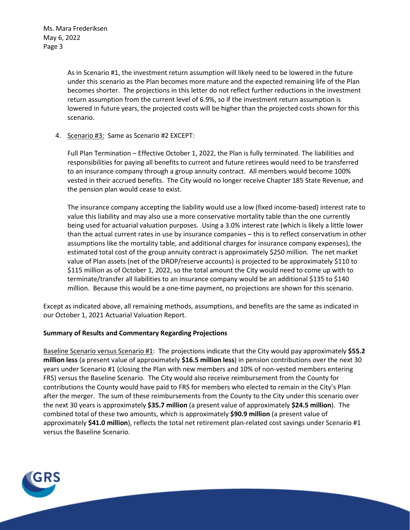> As in Scenario #1, the investment return assumption will likely need to be lowered in the future under this scenario as the Plan becomes more mature and the expected remaining life of the Plan becomes shorter. The projections in this letter do not reflect further reductions in the investment return assumption from the current level of 6.9%, so if the investment return assumption is lowered in future years, the projected costs will be higher than the projected costs shown for this scenario.

4. Scenario #3: Same as Scenario #2 EXCEPT:

Full Plan Termination – Effective October 1, 2022, the Plan is fully terminated. The liabilities and responsibilities for paying all benefits to current and future retirees would need to be transferred to an insurance company through a group annuity contract. All members would become 100% vested in their accrued benefits. The City would no longer receive Chapter 185 State Revenue, and the pension plan would cease to exist.

The insurance company accepting the liability would use a low (fixed income-based) interest rate to value this liability and may also use a more conservative mortality table than the one currently being used for actuarial valuation purposes. Using a 3.0% interest rate (which is likely a little lower than the actual current rates in use by insurance companies – this is to reflect conservatism in other assumptions like the mortality table, and additional charges for insurance company expenses), the estimated total cost of the group annuity contract is approximately \$250 million. The net market value of Plan assets (net of the DROP/reserve accounts) is projected to be approximately \$110 to \$115 million as of October 1, 2022, so the total amount the City would need to come up with to terminate/transfer all liabilities to an insurance company would be an additional \$135 to \$140 million. Because this would be a one-time payment, no projections are shown for this scenario.

Except as indicated above, all remaining methods, assumptions, and benefits are the same as indicated in our October 1, 2021 Actuarial Valuation Report.

## **Summary of Results and Commentary Regarding Projections**

Baseline Scenario versus Scenario #1: The projections indicate that the City would pay approximately **\$55.2 million less** (a present value of approximately **\$16.5 million less**) in pension contributions over the next 30 years under Scenario #1 (closing the Plan with new members and 10% of non-vested members entering FRS) versus the Baseline Scenario. The City would also receive reimbursement from the County for contributions the County would have paid to FRS for members who elected to remain in the City's Plan after the merger. The sum of these reimbursements from the County to the City under this scenario over the next 30 years is approximately **\$35.7 million** (a present value of approximately **\$24.5 million**). The combined total of these two amounts, which is approximately **\$90.9 million** (a present value of approximately **\$41.0 million**), reflects the total net retirement plan-related cost savings under Scenario #1 versus the Baseline Scenario.

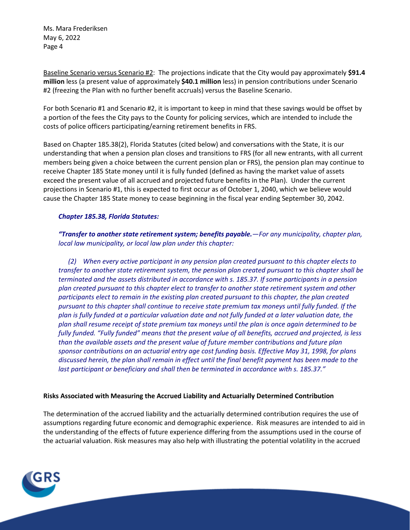Baseline Scenario versus Scenario #2: The projections indicate that the City would pay approximately **\$91.4 million** less (a present value of approximately **\$40.1 million** less) in pension contributions under Scenario #2 (freezing the Plan with no further benefit accruals) versus the Baseline Scenario.

For both Scenario #1 and Scenario #2, it is important to keep in mind that these savings would be offset by a portion of the fees the City pays to the County for policing services, which are intended to include the costs of police officers participating/earning retirement benefits in FRS.

Based on Chapter 185.38(2), Florida Statutes (cited below) and conversations with the State, it is our understanding that when a pension plan closes and transitions to FRS (for all new entrants, with all current members being given a choice between the current pension plan or FRS), the pension plan may continue to receive Chapter 185 State money until it is fully funded (defined as having the market value of assets exceed the present value of all accrued and projected future benefits in the Plan). Under the current projections in Scenario #1, this is expected to first occur as of October 1, 2040, which we believe would cause the Chapter 185 State money to cease beginning in the fiscal year ending September 30, 2042.

#### *Chapter 185.38, Florida Statutes:*

*"Transfer to another state retirement system; benefits payable.—For any municipality, chapter plan, local law municipality, or local law plan under this chapter:*

*(2) When every active participant in any pension plan created pursuant to this chapter elects to transfer to another state retirement system, the pension plan created pursuant to this chapter shall be terminated and the assets distributed in accordance with s. 185.37. If some participants in a pension plan created pursuant to this chapter elect to transfer to another state retirement system and other participants elect to remain in the existing plan created pursuant to this chapter, the plan created pursuant to this chapter shall continue to receive state premium tax moneys until fully funded. If the plan is fully funded at a particular valuation date and not fully funded at a later valuation date, the plan shall resume receipt of state premium tax moneys until the plan is once again determined to be fully funded. "Fully funded" means that the present value of all benefits, accrued and projected, is less than the available assets and the present value of future member contributions and future plan sponsor contributions on an actuarial entry age cost funding basis. Effective May 31, 1998, for plans discussed herein, the plan shall remain in effect until the final benefit payment has been made to the last participant or beneficiary and shall then be terminated in accordance with s. 185.37."*

#### **Risks Associated with Measuring the Accrued Liability and Actuarially Determined Contribution**

The determination of the accrued liability and the actuarially determined contribution requires the use of assumptions regarding future economic and demographic experience. Risk measures are intended to aid in the understanding of the effects of future experience differing from the assumptions used in the course of the actuarial valuation. Risk measures may also help with illustrating the potential volatility in the accrued

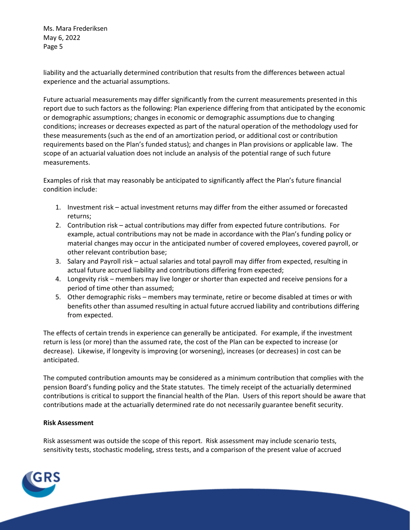liability and the actuarially determined contribution that results from the differences between actual experience and the actuarial assumptions.

Future actuarial measurements may differ significantly from the current measurements presented in this report due to such factors as the following: Plan experience differing from that anticipated by the economic or demographic assumptions; changes in economic or demographic assumptions due to changing conditions; increases or decreases expected as part of the natural operation of the methodology used for these measurements (such as the end of an amortization period, or additional cost or contribution requirements based on the Plan's funded status); and changes in Plan provisions or applicable law. The scope of an actuarial valuation does not include an analysis of the potential range of such future measurements.

Examples of risk that may reasonably be anticipated to significantly affect the Plan's future financial condition include:

- 1. Investment risk actual investment returns may differ from the either assumed or forecasted returns;
- 2. Contribution risk actual contributions may differ from expected future contributions. For example, actual contributions may not be made in accordance with the Plan's funding policy or material changes may occur in the anticipated number of covered employees, covered payroll, or other relevant contribution base;
- 3. Salary and Payroll risk actual salaries and total payroll may differ from expected, resulting in actual future accrued liability and contributions differing from expected;
- 4. Longevity risk members may live longer or shorter than expected and receive pensions for a period of time other than assumed;
- 5. Other demographic risks members may terminate, retire or become disabled at times or with benefits other than assumed resulting in actual future accrued liability and contributions differing from expected.

The effects of certain trends in experience can generally be anticipated. For example, if the investment return is less (or more) than the assumed rate, the cost of the Plan can be expected to increase (or decrease). Likewise, if longevity is improving (or worsening), increases (or decreases) in cost can be anticipated.

The computed contribution amounts may be considered as a minimum contribution that complies with the pension Board's funding policy and the State statutes. The timely receipt of the actuarially determined contributions is critical to support the financial health of the Plan. Users of this report should be aware that contributions made at the actuarially determined rate do not necessarily guarantee benefit security.

#### **Risk Assessment**

Risk assessment was outside the scope of this report. Risk assessment may include scenario tests, sensitivity tests, stochastic modeling, stress tests, and a comparison of the present value of accrued

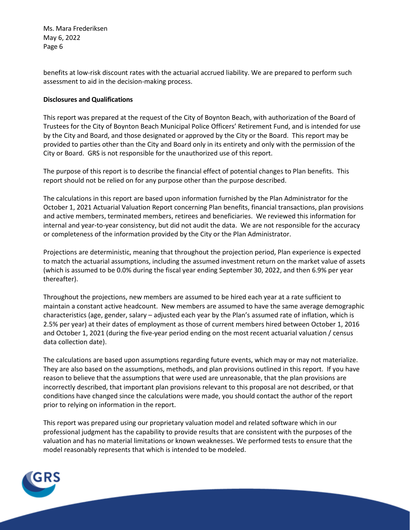benefits at low-risk discount rates with the actuarial accrued liability. We are prepared to perform such assessment to aid in the decision-making process.

#### **Disclosures and Qualifications**

This report was prepared at the request of the City of Boynton Beach, with authorization of the Board of Trustees for the City of Boynton Beach Municipal Police Officers' Retirement Fund, and is intended for use by the City and Board, and those designated or approved by the City or the Board. This report may be provided to parties other than the City and Board only in its entirety and only with the permission of the City or Board. GRS is not responsible for the unauthorized use of this report.

The purpose of this report is to describe the financial effect of potential changes to Plan benefits. This report should not be relied on for any purpose other than the purpose described.

The calculations in this report are based upon information furnished by the Plan Administrator for the October 1, 2021 Actuarial Valuation Report concerning Plan benefits, financial transactions, plan provisions and active members, terminated members, retirees and beneficiaries. We reviewed this information for internal and year-to-year consistency, but did not audit the data. We are not responsible for the accuracy or completeness of the information provided by the City or the Plan Administrator.

Projections are deterministic, meaning that throughout the projection period, Plan experience is expected to match the actuarial assumptions, including the assumed investment return on the market value of assets (which is assumed to be 0.0% during the fiscal year ending September 30, 2022, and then 6.9% per year thereafter).

Throughout the projections, new members are assumed to be hired each year at a rate sufficient to maintain a constant active headcount. New members are assumed to have the same average demographic characteristics (age, gender, salary – adjusted each year by the Plan's assumed rate of inflation, which is 2.5% per year) at their dates of employment as those of current members hired between October 1, 2016 and October 1, 2021 (during the five-year period ending on the most recent actuarial valuation / census data collection date).

The calculations are based upon assumptions regarding future events, which may or may not materialize. They are also based on the assumptions, methods, and plan provisions outlined in this report. If you have reason to believe that the assumptions that were used are unreasonable, that the plan provisions are incorrectly described, that important plan provisions relevant to this proposal are not described, or that conditions have changed since the calculations were made, you should contact the author of the report prior to relying on information in the report.

This report was prepared using our proprietary valuation model and related software which in our professional judgment has the capability to provide results that are consistent with the purposes of the valuation and has no material limitations or known weaknesses. We performed tests to ensure that the model reasonably represents that which is intended to be modeled.

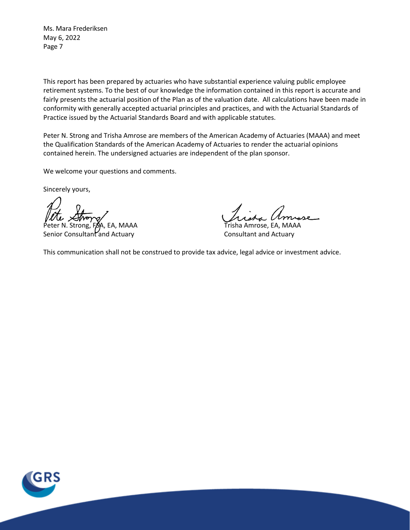This report has been prepared by actuaries who have substantial experience valuing public employee retirement systems. To the best of our knowledge the information contained in this report is accurate and fairly presents the actuarial position of the Plan as of the valuation date. All calculations have been made in conformity with generally accepted actuarial principles and practices, and with the Actuarial Standards of Practice issued by the Actuarial Standards Board and with applicable statutes.

Peter N. Strong and Trisha Amrose are members of the American Academy of Actuaries (MAAA) and meet the Qualification Standards of the American Academy of Actuaries to render the actuarial opinions contained herein. The undersigned actuaries are independent of the plan sponsor.

We welcome your questions and comments.

Sincerely yours,

Peter N. Strong, FSA, EA, MAAA Trisha Amrose, EA, MAAA Senior Consultant and Actuary **Consultant and Actuary** Consultant and Actuary

This communication shall not be construed to provide tax advice, legal advice or investment advice.

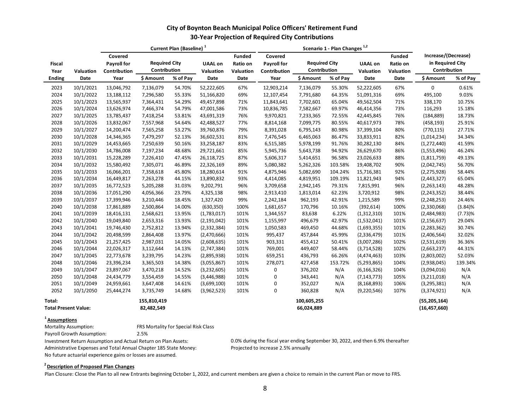## **City of Boynton Beach Municipal Police Officers' Retirement Fund 30-Year Projection of Required City Contributions**

|                                       |           |                                               | Current Plan (Baseline) <sup>1</sup> |          |                             |                                        |                                        |                                                                                  |          |                             |                                        |                                                         |          |
|---------------------------------------|-----------|-----------------------------------------------|--------------------------------------|----------|-----------------------------|----------------------------------------|----------------------------------------|----------------------------------------------------------------------------------|----------|-----------------------------|----------------------------------------|---------------------------------------------------------|----------|
| <b>Fiscal</b><br>Year                 | Valuation | Covered<br><b>Payroll for</b><br>Contribution | <b>Required City</b><br>Contribution |          | <b>UAAL on</b><br>Valuation | <b>Funded</b><br>Ratio on<br>Valuation | Covered<br>Payroll for<br>Contribution | Scenario 1 - Plan Changes <sup>1,2</sup><br><b>Required City</b><br>Contribution |          | <b>UAAL on</b><br>Valuation | <b>Funded</b><br>Ratio on<br>Valuation | Increase/(Decrease)<br>in Required City<br>Contribution |          |
| <b>Ending</b>                         | Date      | Year                                          | \$ Amount                            | % of Pay | Date                        | Date                                   | Year                                   | \$ Amount                                                                        | % of Pay | Date                        | Date                                   | \$ Amount                                               | % of Pay |
| 2023                                  | 10/1/2021 | 13,046,792                                    | 7,136,079                            | 54.70%   | 52,222,605                  | 67%                                    | 12,903,214                             | 7,136,079                                                                        | 55.30%   | 52,222,605                  | 67%                                    | 0                                                       | 0.61%    |
| 2024                                  | 10/1/2022 | 13,188,112                                    | 7,296,580                            | 55.33%   | 51,166,820                  | 69%                                    | 12,107,454                             | 7,791,680                                                                        | 64.35%   | 51,091,316                  | 69%                                    | 495,100                                                 | 9.03%    |
| 2025                                  | 10/1/2023 | 13,565,937                                    | 7,364,431                            | 54.29%   | 49,457,898                  | 71%                                    | 11,843,641                             | 7,702,601                                                                        | 65.04%   | 49,562,504                  | 71%                                    | 338,170                                                 | 10.75%   |
| 2026                                  | 10/1/2024 | 13,626,974                                    | 7,466,374                            | 54.79%   | 47,001,586                  | 73%                                    | 10,836,785                             | 7,582,667                                                                        | 69.97%   | 46,414,356                  | 73%                                    | 116,293                                                 | 15.18%   |
| 2027                                  | 10/1/2025 | 13,785,437                                    | 7,418,254                            | 53.81%   | 43,691,319                  | 76%                                    | 9,970,821                              | 7,233,365                                                                        | 72.55%   | 42,445,845                  | 76%                                    | (184, 889)                                              | 18.73%   |
| 2028                                  | 10/1/2026 | 13,832,067                                    | 7,557,968                            | 54.64%   | 42,488,527                  | 77%                                    | 8,814,168                              | 7,099,775                                                                        | 80.55%   | 40,617,973                  | 78%                                    | (458, 193)                                              | 25.91%   |
| 2029                                  | 10/1/2027 | 14,200,474                                    | 7,565,258                            | 53.27%   | 39,760,876                  | 79%                                    | 8,391,028                              | 6,795,143                                                                        | 80.98%   | 37,399,104                  | 80%                                    | (770, 115)                                              | 27.71%   |
| 2030                                  | 10/1/2028 | 14,346,365                                    | 7,479,297                            | 52.13%   | 36,602,531                  | 81%                                    | 7,476,545                              | 6,465,063                                                                        | 86.47%   | 33,833,911                  | 82%                                    | (1,014,234)                                             | 34.34%   |
| 2031                                  | 10/1/2029 | 14,453,665                                    | 7,250,639                            | 50.16%   | 33,258,187                  | 83%                                    | 6,515,385                              | 5,978,199                                                                        | 91.76%   | 30,282,130                  | 84%                                    | (1,272,440)                                             | 41.59%   |
| 2032                                  | 10/1/2030 | 14,786,008                                    | 7,197,234                            | 48.68%   | 29,721,661                  | 85%                                    | 5,945,736                              | 5,643,738                                                                        | 94.92%   | 26,629,670                  | 86%                                    | (1,553,496)                                             | 46.24%   |
| 2033                                  | 10/1/2031 | 15,228,289                                    | 7,226,410                            | 47.45%   | 26,118,725                  | 87%                                    | 5,606,317                              | 5,414,651                                                                        | 96.58%   | 23,026,633                  | 88%                                    | (1,811,759)                                             | 49.13%   |
| 2034                                  | 10/1/2032 | 15,580,492                                    | 7,305,071                            | 46.89%   | 22,326,169                  | 89%                                    | 5,080,382                              | 5,262,326                                                                        | 103.58%  | 19,408,702                  | 90%                                    | (2,042,745)                                             | 56.70%   |
| 2035                                  | 10/1/2033 | 16,066,201                                    | 7,358,618                            | 45.80%   | 18,280,614                  | 91%                                    | 4,875,946                              | 5,082,690                                                                        | 104.24%  | 15,716,381                  | 92%                                    | (2, 275, 928)                                           | 58.44%   |
| 2036                                  | 10/1/2034 | 16,449,817                                    | 7,263,278                            | 44.15%   | 13,890,832                  | 93%                                    | 4,414,085                              | 4,819,951                                                                        | 109.19%  | 11,821,943                  | 94%                                    | (2,443,327)                                             | 65.04%   |
| 2037                                  | 10/1/2035 | 16,772,523                                    | 5,205,288                            | 31.03%   | 9,202,791                   | 96%                                    | 3,709,658                              | 2,942,145                                                                        | 79.31%   | 7,815,991                   | 96%                                    | (2, 263, 143)                                           | 48.28%   |
| 2038                                  | 10/1/2036 | 17,051,290                                    | 4,056,366                            | 23.79%   | 4,325,138                   | 98%                                    | 2,913,410                              | 1,813,014                                                                        | 62.23%   | 3,720,912                   | 98%                                    | (2, 243, 352)                                           | 38.44%   |
| 2039                                  | 10/1/2037 | 17,399,946                                    | 3,210,446                            | 18.45%   | 1,327,420                   | 99%                                    | 2,242,184                              | 962,193                                                                          | 42.91%   | 1,215,589                   | 99%                                    | (2, 248, 253)                                           | 24.46%   |
| 2040                                  | 10/1/2038 | 17,861,889                                    | 2,500,864                            | 14.00%   | (630, 350)                  | 100%                                   | 1,681,657                              | 170,796                                                                          | 10.16%   | (392, 614)                  | 100%                                   | (2,330,068)                                             | (3.84)%  |
| 2041                                  | 10/1/2039 | 18,416,131                                    | 2,568,621                            | 13.95%   | (1,783,017)                 | 101%                                   | 1,344,557                              | 83,638                                                                           | 6.22%    | (1,312,310)                 | 101%                                   | (2,484,983)                                             | (7.73)%  |
| 2042                                  | 10/1/2040 | 19,049,840                                    | 2,653,316                            | 13.93%   | (2, 191, 042)               | 101%                                   | 1,155,997                              | 496,679                                                                          | 42.97%   | (1,532,041)                 | 101%                                   | (2, 156, 637)                                           | 29.04%   |
| 2043                                  | 10/1/2041 | 19,746,430                                    | 2,752,812                            | 13.94%   | (2, 332, 384)               | 101%                                   | 1,050,583                              | 469,450                                                                          | 44.68%   | (1,693,355)                 | 101%                                   | (2, 283, 362)                                           | 30.74%   |
| 2044                                  | 10/1/2042 | 20,498,599                                    | 2,864,408                            | 13.97%   | (2,470,666)                 | 101%                                   | 995,437                                | 457,844                                                                          | 45.99%   | (2,336,479)                 | 101%                                   | (2,406,564)                                             | 32.02%   |
| 2045                                  | 10/1/2043 | 21,257,425                                    | 2,987,031                            | 14.05%   | (2,608,635)                 | 101%                                   | 903,331                                | 455,412                                                                          | 50.41%   | (3,007,286)                 | 102%                                   | (2,531,619)                                             | 36.36%   |
| 2046                                  | 10/1/2044 | 22,026,317                                    | 3,112,644                            | 14.13%   | (2,747,384)                 | 101%                                   | 769,001                                | 449,407                                                                          | 58.44%   | (3,714,528)                 | 102%                                   | (2,663,237)                                             | 44.31%   |
| 2047                                  | 10/1/2045 | 22,773,678                                    | 3,239,795                            | 14.23%   | (2,895,938)                 | 101%                                   | 659,251                                | 436,793                                                                          | 66.26%   | (4,474,463)                 | 103%                                   | (2,803,002)                                             | 52.03%   |
| 2048                                  | 10/1/2046 | 23,396,234                                    | 3,365,503                            | 14.38%   | (3,055,867)                 | 101%                                   | 278,071                                | 427,458                                                                          | 153.72%  | (5,293,865)                 | 104%                                   | (2,938,045)                                             | 139.34%  |
| 2049                                  | 10/1/2047 | 23,897,067                                    | 3,470,218                            | 14.52%   | (3,232,605)                 | 101%                                   | 0                                      | 376,202                                                                          | N/A      | (6, 166, 326)               | 104%                                   | (3,094,016)                                             | N/A      |
| 2050                                  | 10/1/2048 | 24,434,779                                    | 3,554,459                            | 14.55%   | (3,446,988)                 | 101%                                   | 0                                      | 343,441                                                                          | N/A      | (7, 143, 773)               | 105%                                   | (3,211,018)                                             | N/A      |
| 2051                                  | 10/1/2049 | 24,959,661                                    | 3,647,408                            | 14.61%   | (3,699,100)                 | 101%                                   | 0                                      | 352,027                                                                          | N/A      | (8, 168, 893)               | 106%                                   | (3,295,381)                                             | N/A      |
| 2052                                  | 10/1/2050 | 25,444,274                                    | 3,735,749                            | 14.68%   | (3,962,523)                 | 101%                                   | 0                                      | 360,828                                                                          | N/A      | (9,220,546)                 | 107%                                   | (3,374,921)                                             | N/A      |
| Total:<br><b>Total Present Value:</b> |           |                                               | 155,810,419<br>82,482,549            |          |                             |                                        |                                        | 100,605,255<br>66,024,889                                                        |          |                             |                                        | (55, 205, 164)<br>(16, 457, 660)                        |          |

#### **1 Assumptions**

Mortality Assumption: FRS Mortality for Special Risk Class

Payroll Growth Assumption: 2.5%

Administrative Expenses and Total Annual Chapter 185 State Money: Projected to increase 2.5% annually

No future actuarial experience gains or losses are assumed.

Investment Return Assumption and Actual Return on Plan Assets: 0.0% during the fiscal year ending September 30, 2022, and then 6.9% thereafter

## **2 Description of Proposed Plan Changes**

Plan Closure: Close the Plan to all new Entrants beginning October 1, 2022, and current members are given a choice to remain in the current Plan or move to FRS.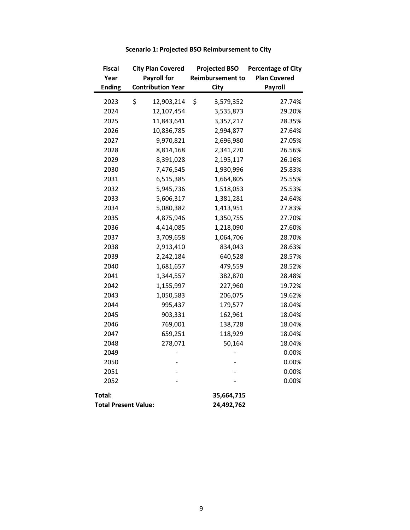| <b>Fiscal</b>               | <b>City Plan Covered</b> | <b>Projected BSO</b>    | <b>Percentage of City</b> |  |  |
|-----------------------------|--------------------------|-------------------------|---------------------------|--|--|
| Year                        | <b>Payroll for</b>       | <b>Reimbursement to</b> | <b>Plan Covered</b>       |  |  |
| <b>Ending</b>               | <b>Contribution Year</b> | City                    | Payroll                   |  |  |
| 2023                        | \$<br>12,903,214         | \$<br>3,579,352         | 27.74%                    |  |  |
| 2024                        | 12,107,454               | 3,535,873               | 29.20%                    |  |  |
| 2025                        | 11,843,641               | 3,357,217               | 28.35%                    |  |  |
| 2026                        | 10,836,785               | 2,994,877               | 27.64%                    |  |  |
| 2027                        | 9,970,821                | 2,696,980               | 27.05%                    |  |  |
| 2028                        | 8,814,168                | 2,341,270               | 26.56%                    |  |  |
| 2029                        | 8,391,028                | 2,195,117               | 26.16%                    |  |  |
| 2030                        | 7,476,545                | 1,930,996               | 25.83%                    |  |  |
| 2031                        | 6,515,385                | 1,664,805               | 25.55%                    |  |  |
| 2032                        | 5,945,736                | 1,518,053               | 25.53%                    |  |  |
| 2033                        | 5,606,317                | 1,381,281               | 24.64%                    |  |  |
| 2034                        | 5,080,382                | 1,413,951               | 27.83%                    |  |  |
| 2035                        | 4,875,946                | 1,350,755               | 27.70%                    |  |  |
| 2036                        | 4,414,085                | 1,218,090               | 27.60%                    |  |  |
| 2037                        | 3,709,658                | 1,064,706               | 28.70%                    |  |  |
| 2038                        | 2,913,410                | 834,043                 | 28.63%                    |  |  |
| 2039                        | 2,242,184                | 640,528                 | 28.57%                    |  |  |
| 2040                        | 1,681,657                | 479,559                 | 28.52%                    |  |  |
| 2041                        | 1,344,557                | 382,870                 | 28.48%                    |  |  |
| 2042                        | 1,155,997                | 227,960                 | 19.72%                    |  |  |
| 2043                        | 1,050,583                | 206,075                 | 19.62%                    |  |  |
| 2044                        | 995,437                  | 179,577                 | 18.04%                    |  |  |
| 2045                        | 903,331                  | 162,961                 | 18.04%                    |  |  |
| 2046                        | 769,001                  | 138,728                 | 18.04%                    |  |  |
| 2047                        | 659,251                  | 118,929                 | 18.04%                    |  |  |
| 2048                        | 278,071                  | 50,164                  | 18.04%                    |  |  |
| 2049                        |                          |                         | 0.00%                     |  |  |
| 2050                        |                          |                         | 0.00%                     |  |  |
| 2051                        |                          |                         | 0.00%                     |  |  |
| 2052                        |                          |                         | 0.00%                     |  |  |
| Total:                      |                          | 35,664,715              |                           |  |  |
| <b>Total Present Value:</b> |                          | 24,492,762              |                           |  |  |

# **Scenario 1: Projected BSO Reimbursement to City**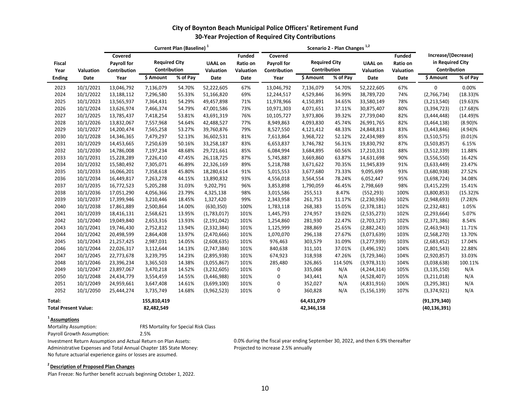| City of Boynton Beach Municipal Police Officers' Retirement Fund |
|------------------------------------------------------------------|
| 30-Year Projection of Required City Contributions                |

|                                       |           |                                               | Current Plan (Baseline) <sup>1</sup> |          |                             |                                        |                                               |                                      |          |                             |                                 |                                                         |             |
|---------------------------------------|-----------|-----------------------------------------------|--------------------------------------|----------|-----------------------------|----------------------------------------|-----------------------------------------------|--------------------------------------|----------|-----------------------------|---------------------------------|---------------------------------------------------------|-------------|
| <b>Fiscal</b><br>Year                 | Valuation | Covered<br><b>Payroll for</b><br>Contribution | <b>Required City</b><br>Contribution |          | <b>UAAL on</b><br>Valuation | <b>Funded</b><br>Ratio on<br>Valuation | Covered<br><b>Payroll for</b><br>Contribution | <b>Required City</b><br>Contribution |          | <b>UAAL on</b><br>Valuation | Funded<br>Ratio on<br>Valuation | Increase/(Decrease)<br>in Required City<br>Contribution |             |
| <b>Ending</b>                         | Date      | Year                                          | \$ Amount                            | % of Pay | Date                        | Date                                   | Year                                          | $\frac{1}{2}$ Amount                 | % of Pay | Date                        | Date                            | \$ Amount                                               | % of Pay    |
| 2023                                  | 10/1/2021 | 13,046,792                                    | 7,136,079                            | 54.70%   | 52,222,605                  | 67%                                    | 13,046,792                                    | 7,136,079                            | 54.70%   | 52,222,605                  | 67%                             | 0                                                       | 0.00%       |
| 2024                                  | 10/1/2022 | 13,188,112                                    | 7,296,580                            | 55.33%   | 51,166,820                  | 69%                                    | 12,244,517                                    | 4,529,846                            | 36.99%   | 38,789,720                  | 74%                             | (2,766,734)                                             | $(18.33)\%$ |
| 2025                                  | 10/1/2023 | 13,565,937                                    | 7,364,431                            | 54.29%   | 49,457,898                  | 71%                                    | 11,978,966                                    | 4,150,891                            | 34.65%   | 33,580,149                  | 78%                             | (3,213,540)                                             | $(19.63)\%$ |
| 2026                                  | 10/1/2024 | 13,626,974                                    | 7,466,374                            | 54.79%   | 47,001,586                  | 73%                                    | 10,971,303                                    | 4,071,651                            | 37.11%   | 30,875,407                  | 80%                             | (3,394,723)                                             | $(17.68)\%$ |
| 2027                                  | 10/1/2025 | 13,785,437                                    | 7,418,254                            | 53.81%   | 43,691,319                  | 76%                                    | 10,105,727                                    | 3,973,806                            | 39.32%   | 27,739,040                  | 82%                             | (3,444,448)                                             | $(14.49)\%$ |
| 2028                                  | 10/1/2026 | 13,832,067                                    | 7,557,968                            | 54.64%   | 42,488,527                  | 77%                                    | 8,949,863                                     | 4,093,830                            | 45.74%   | 26,991,765                  | 82%                             | (3,464,138)                                             | $(8.90)\%$  |
| 2029                                  | 10/1/2027 | 14,200,474                                    | 7,565,258                            | 53.27%   | 39,760,876                  | 79%                                    | 8,527,550                                     | 4,121,412                            | 48.33%   | 24,848,813                  | 83%                             | (3,443,846)                                             | (4.94)%     |
| 2030                                  | 10/1/2028 | 14,346,365                                    | 7,479,297                            | 52.13%   | 36,602,531                  | 81%                                    | 7,613,864                                     | 3,968,722                            | 52.12%   | 22,434,989                  | 85%                             | (3,510,575)                                             | $(0.01)\%$  |
| 2031                                  | 10/1/2029 | 14,453,665                                    | 7,250,639                            | 50.16%   | 33,258,187                  | 83%                                    | 6,653,837                                     | 3,746,782                            | 56.31%   | 19,830,792                  | 87%                             | (3,503,857)                                             | 6.15%       |
| 2032                                  | 10/1/2030 | 14,786,008                                    | 7,197,234                            | 48.68%   | 29,721,661                  | 85%                                    | 6,084,994                                     | 3,684,895                            | 60.56%   | 17,210,331                  | 88%                             | (3,512,339)                                             | 11.88%      |
| 2033                                  | 10/1/2031 | 15,228,289                                    | 7,226,410                            | 47.45%   | 26,118,725                  | 87%                                    | 5,745,887                                     | 3,669,860                            | 63.87%   | 14,631,698                  | 90%                             | (3,556,550)                                             | 16.42%      |
| 2034                                  | 10/1/2032 | 15,580,492                                    | 7,305,071                            | 46.89%   | 22,326,169                  | 89%                                    | 5,218,788                                     | 3,671,622                            | 70.35%   | 11,945,839                  | 91%                             | (3,633,449)                                             | 23.47%      |
| 2035                                  | 10/1/2033 | 16,066,201                                    | 7,358,618                            | 45.80%   | 18,280,614                  | 91%                                    | 5,015,553                                     | 3,677,680                            | 73.33%   | 9,095,699                   | 93%                             | (3,680,938)                                             | 27.52%      |
| 2036                                  | 10/1/2034 | 16,449,817                                    | 7,263,278                            | 44.15%   | 13,890,832                  | 93%                                    | 4,556,018                                     | 3,564,554                            | 78.24%   | 6,052,447                   | 95%                             | (3,698,724)                                             | 34.08%      |
| 2037                                  | 10/1/2035 | 16,772,523                                    | 5,205,288                            | 31.03%   | 9,202,791                   | 96%                                    | 3,853,898                                     | 1,790,059                            | 46.45%   | 2,798,669                   | 98%                             | (3,415,229)                                             | 15.41%      |
| 2038                                  | 10/1/2036 | 17,051,290                                    | 4,056,366                            | 23.79%   | 4,325,138                   | 98%                                    | 3,015,586                                     | 255,513                              | 8.47%    | (552, 293)                  | 100%                            | (3,800,853)                                             | $(15.32)\%$ |
| 2039                                  | 10/1/2037 | 17,399,946                                    | 3,210,446                            | 18.45%   | 1,327,420                   | 99%                                    | 2,343,958                                     | 261,753                              | 11.17%   | (2, 230, 936)               | 102%                            | (2,948,693)                                             | $(7.28)\%$  |
| 2040                                  | 10/1/2038 | 17,861,889                                    | 2,500,864                            | 14.00%   | (630, 350)                  | 100%                                   | 1,783,118                                     | 268,383                              | 15.05%   | (2,378,181)                 | 102%                            | (2, 232, 481)                                           | 1.05%       |
| 2041                                  | 10/1/2039 | 18,416,131                                    | 2,568,621                            | 13.95%   | (1,783,017)                 | 101%                                   | 1,445,793                                     | 274,957                              | 19.02%   | (2,535,273)                 | 102%                            | (2, 293, 664)                                           | 5.07%       |
| 2042                                  | 10/1/2040 | 19,049,840                                    | 2,653,316                            | 13.93%   | (2, 191, 042)               | 101%                                   | 1,254,860                                     | 281,930                              | 22.47%   | (2,703,127)                 | 102%                            | (2,371,386)                                             | 8.54%       |
| 2043                                  | 10/1/2041 | 19,746,430                                    | 2,752,812                            | 13.94%   | (2, 332, 384)               | 101%                                   | 1,125,999                                     | 288,869                              | 25.65%   | (2,882,243)                 | 103%                            | (2,463,943)                                             | 11.71%      |
| 2044                                  | 10/1/2042 | 20,498,599                                    | 2,864,408                            | 13.97%   | (2,470,666)                 | 101%                                   | 1,070,070                                     | 296,138                              | 27.67%   | (3,073,639)                 | 103%                            | (2,568,270)                                             | 13.70%      |
| 2045                                  | 10/1/2043 | 21,257,425                                    | 2,987,031                            | 14.05%   | (2,608,635)                 | 101%                                   | 976,463                                       | 303,579                              | 31.09%   | (3, 277, 939)               | 103%                            | (2,683,452)                                             | 17.04%      |
| 2046                                  | 10/1/2044 | 22,026,317                                    | 3,112,644                            | 14.13%   | (2,747,384)                 | 101%                                   | 840,638                                       | 311,101                              | 37.01%   | (3,496,192)                 | 104%                            | (2,801,543)                                             | 22.88%      |
| 2047                                  | 10/1/2045 | 22,773,678                                    | 3,239,795                            | 14.23%   | (2,895,938)                 | 101%                                   | 674,923                                       | 318,938                              | 47.26%   | (3,729,346)                 | 104%                            | (2,920,857)                                             | 33.03%      |
| 2048                                  | 10/1/2046 | 23,396,234                                    | 3,365,503                            | 14.38%   | (3,055,867)                 | 101%                                   | 285,480                                       | 326,865                              | 114.50%  | (3,978,313)                 | 104%                            | (3,038,638)                                             | 100.11%     |
| 2049                                  | 10/1/2047 | 23,897,067                                    | 3,470,218                            | 14.52%   | (3,232,605)                 | 101%                                   | 0                                             | 335,068                              | N/A      | (4, 244, 314)               | 105%                            | (3, 135, 150)                                           | N/A         |
| 2050                                  | 10/1/2048 | 24,434,779                                    | 3,554,459                            | 14.55%   | (3,446,988)                 | 101%                                   | 0                                             | 343,441                              | N/A      | (4,528,407)                 | 105%                            | (3,211,018)                                             | N/A         |
| 2051                                  | 10/1/2049 | 24,959,661                                    | 3,647,408                            | 14.61%   | (3,699,100)                 | 101%                                   | 0                                             | 352,027                              | N/A      | (4,831,916)                 | 106%                            | (3, 295, 381)                                           | N/A         |
| 2052                                  | 10/1/2050 | 25,444,274                                    | 3,735,749                            | 14.68%   | (3,962,523)                 | 101%                                   | 0                                             | 360,828                              | N/A      | (5, 156, 139)               | 107%                            | (3,374,921)                                             | N/A         |
| Total:<br><b>Total Present Value:</b> |           |                                               | 155,810,419<br>82,482,549            |          |                             |                                        |                                               | 64,431,079<br>42,346,158             |          |                             |                                 | (91, 379, 340)<br>(40, 136, 391)                        |             |

<sup>1</sup> **Assumptions**<br>Mortality Assumption: FRS Mortality for Special Risk Class

Payroll Growth Assumption: 2.5%

Administrative Expenses and Total Annual Chapter 185 State Money: No future actuarial experience gains or losses are assumed.

Investment Return Assumption and Actual Return on Plan Assets:<br>
Administrative Expenses and Total Annual Chapter 185 State Money: Projected to increase 2.5% annually

#### **2 Description of Proposed Plan Changes**

Plan Freeze: No further benefit accruals beginning October 1, 2022.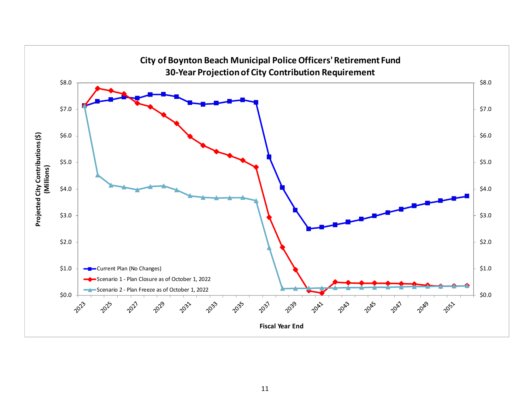